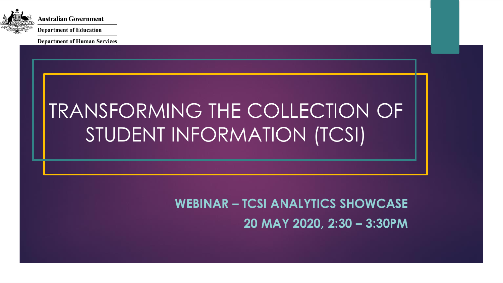

**Department of Human Services** 

# TRANSFORMING THE COLLECTION OF STUDENT INFORMATION (TCSI)

**WEBINAR – TCSI ANALYTICS SHOWCASE 20 MAY 2020, 2:30 – 3:30PM**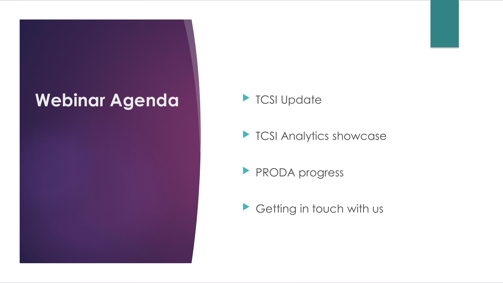### Webinar Agenda **| TCSI Update**

**TCSI Analytics showcase** 

**PRODA progress** 

Getting in touch with us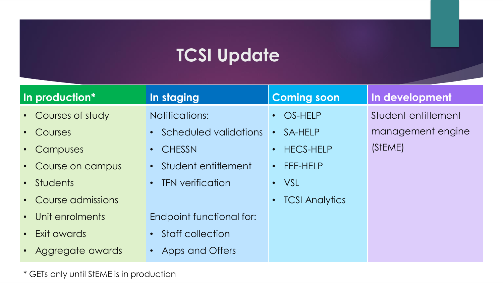## **TCSI Update**

| In production*          | In staging                             | <b>Coming soon</b>                 | In development      |
|-------------------------|----------------------------------------|------------------------------------|---------------------|
| • Courses of study      | <b>Notifications:</b>                  | • OS-HELP                          | Student entitlement |
| Courses<br>$\bullet$    | • Scheduled validations                | SA-HELP<br>$\bullet$               | management engine   |
| Campuses<br>$\bullet$ . | <b>CHESSN</b><br>$\bullet$ .           | • HECS-HELP                        | (STEME)             |
| • Course on campus      | • Student entitlement                  | $\cdot$ FEE-HELP                   |                     |
| • Students              | <b>TFN verification</b><br>$\bullet$ . | $\cdot$ VSL                        |                     |
| • Course admissions     |                                        | <b>TCSI Analytics</b><br>$\bullet$ |                     |
| • Unit enrolments       | <b>Endpoint functional for:</b>        |                                    |                     |
| • Exit awards           | • Staff collection                     |                                    |                     |
| • Aggregate awards      | Apps and Offers<br>$\bullet$           |                                    |                     |

\* GETs only until StEME is in production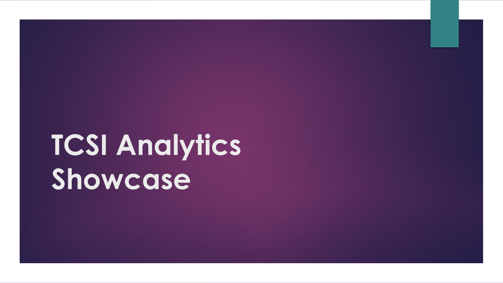# **TCSI Analytics Showcase**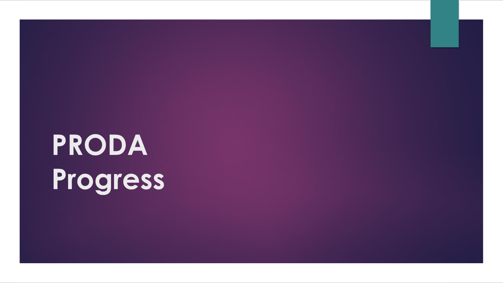# **PRODA Progress**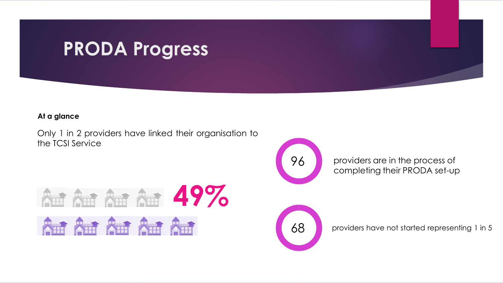## **PRODA Progress**

#### **At a glance**

Only 1 in 2 providers have linked their organisation to the TCSI Service



providers are in the process of completing their PRODA set-up





68 providers have not started representing 1 in 5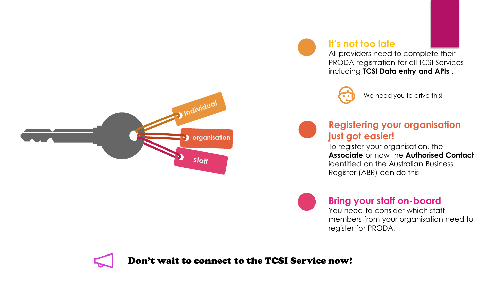



All providers need to complete their PRODA registration for all TCSI Services including **TCSI Data entry and APIs** .



We need you to drive this!



### **Registering your organisation just got easier!**

To register your organisation, the **Associate** or now the **Authorised Contact**  identified on the Australian Business Register (ABR) can do this



### **Bring your staff on-board**

You need to consider which staff members from your organisation need to register for PRODA.



Don't wait to connect to the TCSI Service now!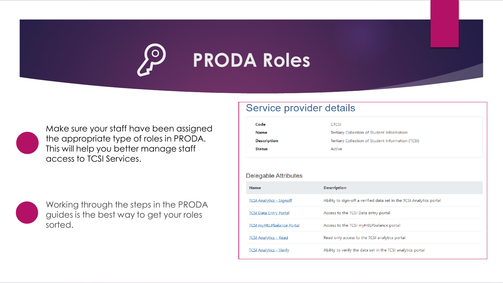

Make sure your staff have been assigned the appropriate type of roles in PRODA. This will help you better manage staff access to TCSI Services.



Working through the steps in the PRODA guides is the best way to get your roles sorted.

### Service provider details

| Code                             | <b>CTCSI</b>                                                                                    |  |  |
|----------------------------------|-------------------------------------------------------------------------------------------------|--|--|
| <b>Name</b>                      | Tertiary Collection of Student Information<br>Tertiary Collection of Student Information (TCSI) |  |  |
| <b>Description</b>               |                                                                                                 |  |  |
| <b>Status</b>                    | Active                                                                                          |  |  |
|                                  |                                                                                                 |  |  |
| Delegable Attributes             |                                                                                                 |  |  |
| <b>Name</b>                      | <b>Description</b>                                                                              |  |  |
| <b>TCSI Analytics - Signoff</b>  | Ability to sign-off a verified data set in the TCSI Analytics portal                            |  |  |
| <b>TCSI Data Entry Portal</b>    | Access to the TCSI Data entry portal                                                            |  |  |
| <b>TCSI myHELPbalance Portal</b> | Access to the TCSI myHELPbalance portal                                                         |  |  |
| <b>TCSI Analytics - Read</b>     | Read only access to the TCSI analytics portal                                                   |  |  |
| <b>TCSI Analytics - Verify</b>   | Ability to verify the data set in the TCSI analytics portal                                     |  |  |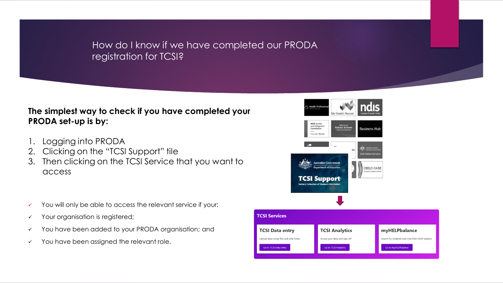### How do I know if we have completed our PRODA registration for TCSI?

### **The simplest way to check if you have completed your PRODA set-up is by:**

- 1. Logging into PRODA
- 2. Clicking on the "TCSI Support" tile
- 3. Then clicking on the TCSI Service that you want to access
- ✓ You will only be able to access the relevant service if your:
- ✓ Your organisation is registered;
- ✓ You have been added to your PRODA organisation; and
- ✓ You have been assigned the relevant role.

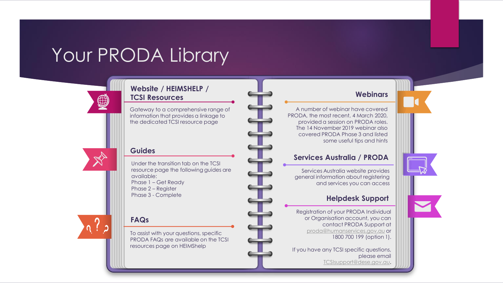# Your PRODA Library

#### **Website / HEIMSHELP / TCSI Resources**

Gateway to a comprehensive range of information that provides a linkage to the dedicated TCSI resource page



 $\bigoplus$ 

#### **Guides**

Under the transition tab on the TCSI resource page the following guides are available: Phase 1 – Get Ready Phase 2 – Register Phase 3 - Complete

#### **FAQs**

To assist with your questions, specific PRODA FAQs are available on the TCSI resources page on HEIMShelp

#### **Webinars**

A number of webinar have covered PRODA, the most recent, 4 March 2020, provided a session on PRODA roles. The 14 November 2019 webinar also covered PRODA Phase 3 and listed some useful tips and hints

#### **Services Australia / PRODA**

Services Australia website provides general information about registering and services you can access

#### **Helpdesk Support**

Registration of your PRODA Individual or Organisation account, you can contact PRODA Support at [proda@humanservices.gov.au](mailto:proda@humanservices.gov.au) or 1800 700 199 (option 1).

If you have any TCSI specific questions, please email [TCSIsupport@dese.gov.au](mailto:TCSIsupport@dese.gov.au).

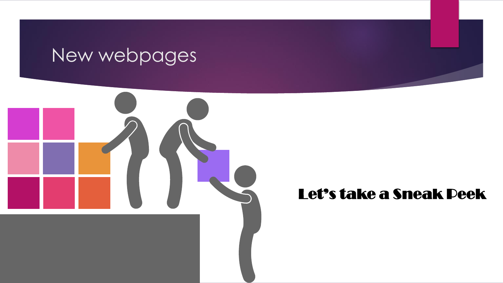## New webpages



### Let's take a Sneak Peek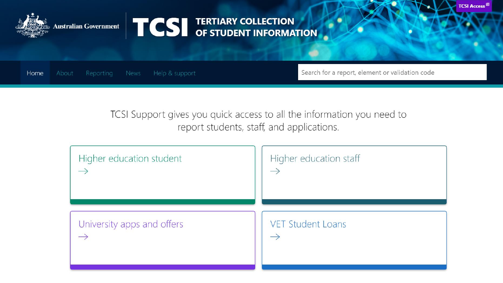

Australian Government **TCS** TERTIARY COLLECTION

Home About Reporting News Help & support Search for a report, element or validation code

**TCSI Access<sup>®</sup>** 

TCSI Support gives you quick access to all the information you need to report students, staff, and applications.